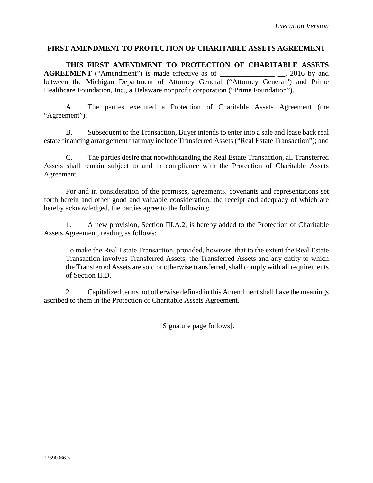## **FIRST AMENDMENT TO PROTECTION OF CHARITABLE ASSETS AGREEMENT**

**THIS FIRST AMENDMENT TO PROTECTION OF CHARITABLE ASSETS AGREEMENT** ("Amendment") is made effective as of \_\_\_\_\_\_\_\_\_\_\_\_\_\_\_\_\_\_\_\_, 2016 by and between the Michigan Department of Attorney General ("Attorney General") and Prime Healthcare Foundation, Inc., a Delaware nonprofit corporation ("Prime Foundation").

A. The parties executed a Protection of Charitable Assets Agreement (the "Agreement");

B. Subsequent to the Transaction, Buyer intends to enter into a sale and lease back real estate financing arrangement that may include Transferred Assets ("Real Estate Transaction"); and

C. The parties desire that notwithstanding the Real Estate Transaction, all Transferred Assets shall remain subject to and in compliance with the Protection of Charitable Assets Agreement.

For and in consideration of the premises, agreements, covenants and representations set forth herein and other good and valuable consideration, the receipt and adequacy of which are hereby acknowledged, the parties agree to the following:

1. A new provision, Section III.A.2, is hereby added to the Protection of Charitable Assets Agreement, reading as follows:

To make the Real Estate Transaction, provided, however, that to the extent the Real Estate Transaction involves Transferred Assets, the Transferred Assets and any entity to which the Transferred Assets are sold or otherwise transferred, shall comply with all requirements of Section II.D.

2. Capitalized terms not otherwise defined in this Amendment shall have the meanings ascribed to them in the Protection of Charitable Assets Agreement.

[Signature page follows].